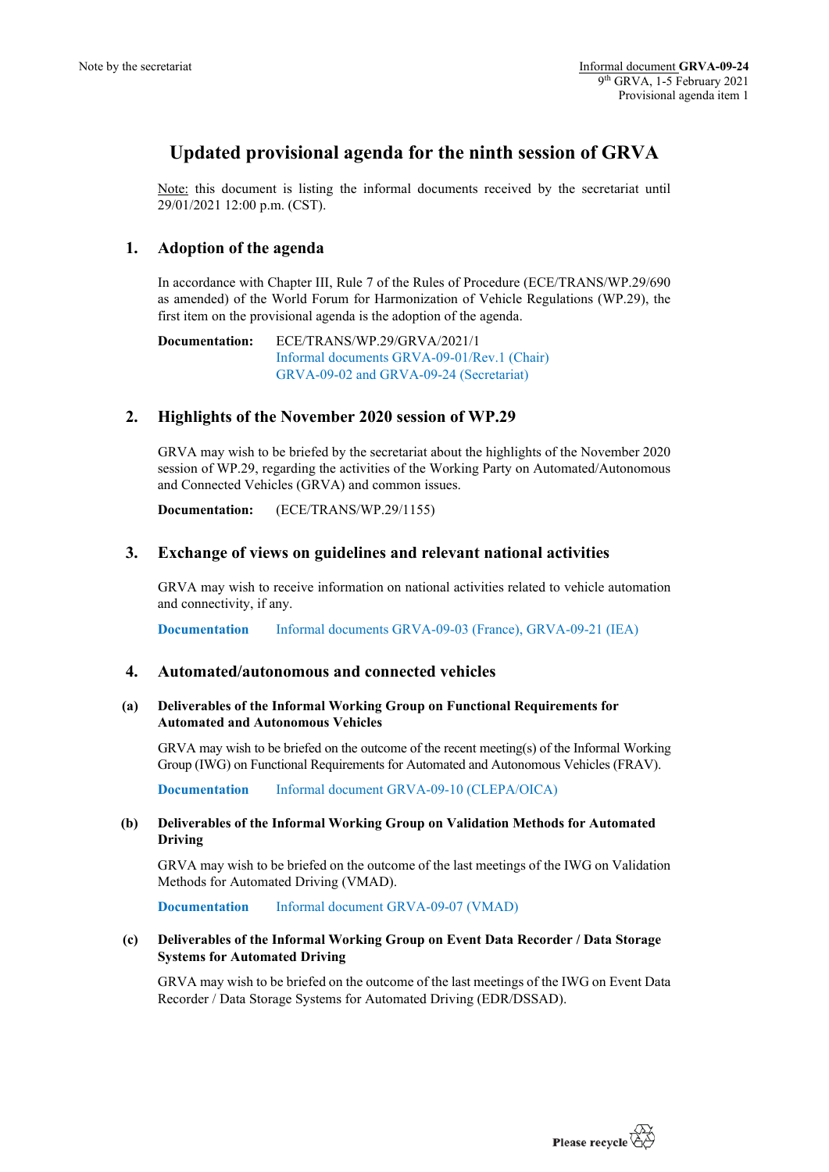# **Updated provisional agenda for the ninth session of GRVA**

Note: this document is listing the informal documents received by the secretariat until 29/01/2021 12:00 p.m. (CST).

# **1. Adoption of the agenda**

In accordance with Chapter III, Rule 7 of the Rules of Procedure (ECE/TRANS/WP.29/690 as amended) of the World Forum for Harmonization of Vehicle Regulations (WP.29), the first item on the provisional agenda is the adoption of the agenda.

**Documentation:** ECE/TRANS/WP.29/GRVA/2021/1 Informal documents GRVA-09-01/Rev.1 (Chair) GRVA-09-02 and GRVA-09-24 (Secretariat)

# **2. Highlights of the November 2020 session of WP.29**

GRVA may wish to be briefed by the secretariat about the highlights of the November 2020 session of WP.29, regarding the activities of the Working Party on Automated/Autonomous and Connected Vehicles (GRVA) and common issues.

**Documentation:** (ECE/TRANS/WP.29/1155)

# **3. Exchange of views on guidelines and relevant national activities**

GRVA may wish to receive information on national activities related to vehicle automation and connectivity, if any.

**Documentation** Informal documents GRVA-09-03 (France), GRVA-09-21 (IEA)

# **4. Automated/autonomous and connected vehicles**

### **(a) Deliverables of the Informal Working Group on Functional Requirements for Automated and Autonomous Vehicles**

GRVA may wish to be briefed on the outcome of the recent meeting(s) of the Informal Working Group (IWG) on Functional Requirements for Automated and Autonomous Vehicles (FRAV).

**Documentation** Informal document GRVA-09-10 (CLEPA/OICA)

### **(b) Deliverables of the Informal Working Group on Validation Methods for Automated Driving**

GRVA may wish to be briefed on the outcome of the last meetings of the IWG on Validation Methods for Automated Driving (VMAD).

**Documentation** Informal document GRVA-09-07 (VMAD)

### **(c) Deliverables of the Informal Working Group on Event Data Recorder / Data Storage Systems for Automated Driving**

GRVA may wish to be briefed on the outcome of the last meetings of the IWG on Event Data Recorder / Data Storage Systems for Automated Driving (EDR/DSSAD).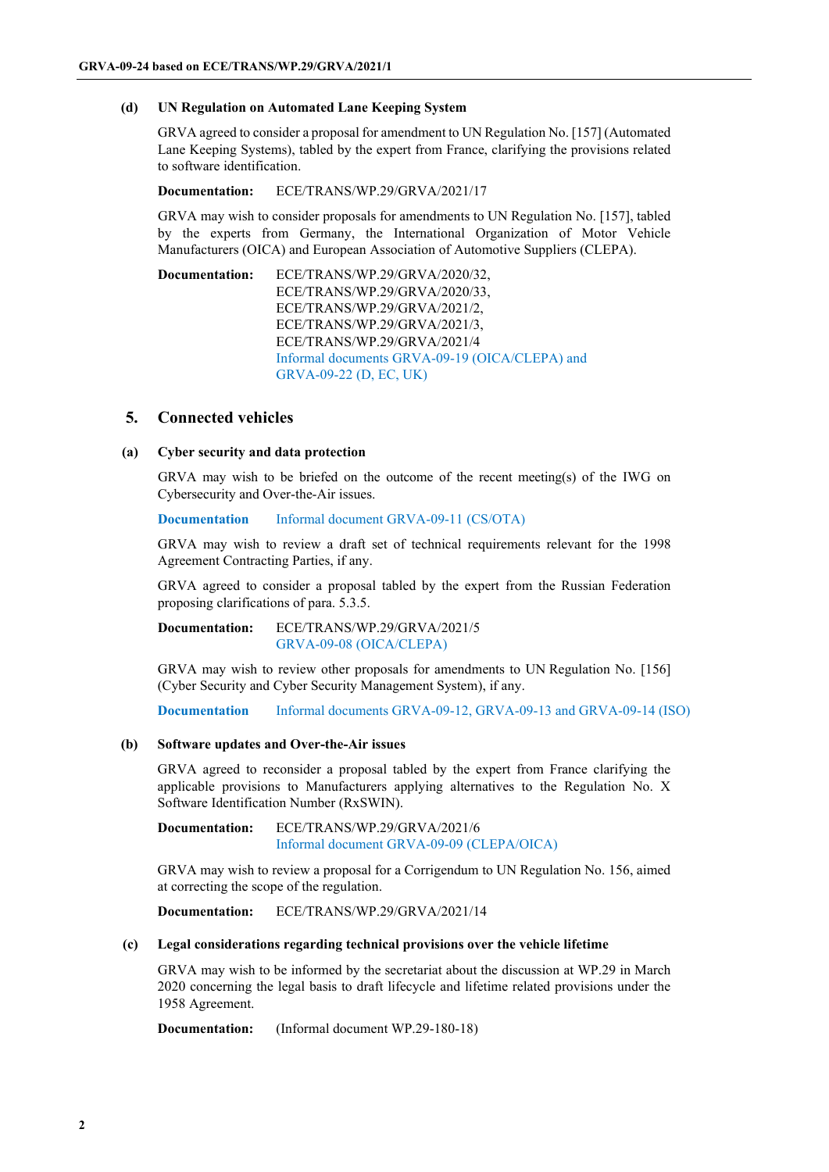#### **(d) UN Regulation on Automated Lane Keeping System**

GRVA agreed to consider a proposal for amendment to UN Regulation No. [157] (Automated Lane Keeping Systems), tabled by the expert from France, clarifying the provisions related to software identification.

### **Documentation:** ECE/TRANS/WP.29/GRVA/2021/17

GRVA may wish to consider proposals for amendments to UN Regulation No. [157], tabled by the experts from Germany, the International Organization of Motor Vehicle Manufacturers (OICA) and European Association of Automotive Suppliers (CLEPA).

**Documentation:** ECE/TRANS/WP.29/GRVA/2020/32, ECE/TRANS/WP.29/GRVA/2020/33, ECE/TRANS/WP.29/GRVA/2021/2, ECE/TRANS/WP.29/GRVA/2021/3, ECE/TRANS/WP.29/GRVA/2021/4 Informal documents GRVA-09-19 (OICA/CLEPA) and GRVA-09-22 (D, EC, UK)

# **5. Connected vehicles**

### **(a) Cyber security and data protection**

GRVA may wish to be briefed on the outcome of the recent meeting(s) of the IWG on Cybersecurity and Over-the-Air issues.

**Documentation** Informal document GRVA-09-11 (CS/OTA)

GRVA may wish to review a draft set of technical requirements relevant for the 1998 Agreement Contracting Parties, if any.

GRVA agreed to consider a proposal tabled by the expert from the Russian Federation proposing clarifications of para. 5.3.5.

**Documentation:** ECE/TRANS/WP.29/GRVA/2021/5 GRVA-09-08 (OICA/CLEPA)

GRVA may wish to review other proposals for amendments to UN Regulation No. [156] (Cyber Security and Cyber Security Management System), if any.

**Documentation** Informal documents GRVA-09-12, GRVA-09-13 and GRVA-09-14 (ISO)

### **(b) Software updates and Over-the-Air issues**

GRVA agreed to reconsider a proposal tabled by the expert from France clarifying the applicable provisions to Manufacturers applying alternatives to the Regulation No. X Software Identification Number (RxSWIN).

**Documentation:** ECE/TRANS/WP.29/GRVA/2021/6 Informal document GRVA-09-09 (CLEPA/OICA)

GRVA may wish to review a proposal for a Corrigendum to UN Regulation No. 156, aimed at correcting the scope of the regulation.

**Documentation:** ECE/TRANS/WP.29/GRVA/2021/14

#### **(c) Legal considerations regarding technical provisions over the vehicle lifetime**

GRVA may wish to be informed by the secretariat about the discussion at WP.29 in March 2020 concerning the legal basis to draft lifecycle and lifetime related provisions under the 1958 Agreement.

**Documentation:** (Informal document WP.29-180-18)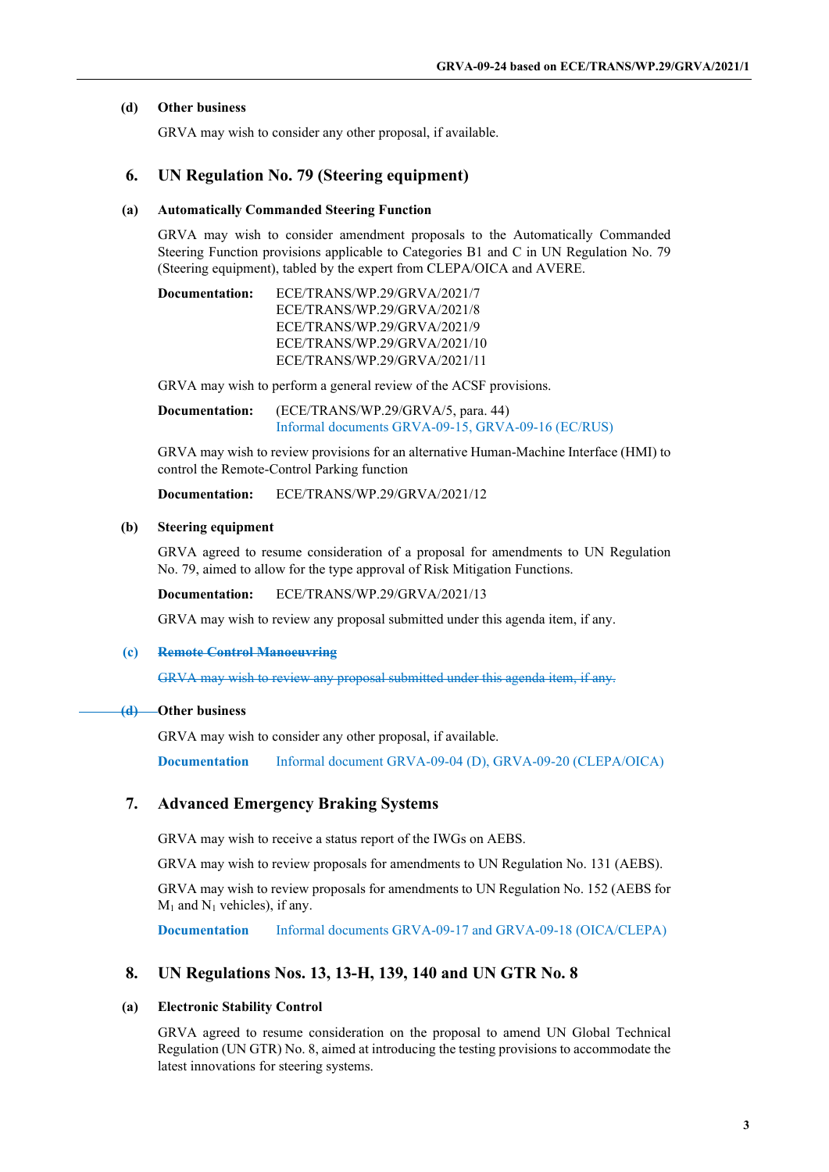### **(d) Other business**

GRVA may wish to consider any other proposal, if available.

# **6. UN Regulation No. 79 (Steering equipment)**

#### **(a) Automatically Commanded Steering Function**

GRVA may wish to consider amendment proposals to the Automatically Commanded Steering Function provisions applicable to Categories B1 and C in UN Regulation No. 79 (Steering equipment), tabled by the expert from CLEPA/OICA and AVERE.

| Documentation: | ECE/TRANS/WP.29/GRVA/2021/7  |
|----------------|------------------------------|
|                | ECE/TRANS/WP.29/GRVA/2021/8  |
|                | ECE/TRANS/WP.29/GRVA/2021/9  |
|                | ECE/TRANS/WP.29/GRVA/2021/10 |
|                | ECE/TRANS/WP.29/GRVA/2021/11 |
|                |                              |

GRVA may wish to perform a general review of the ACSF provisions.

**Documentation:** (ECE/TRANS/WP.29/GRVA/5, para. 44) Informal documents GRVA-09-15, GRVA-09-16 (EC/RUS)

GRVA may wish to review provisions for an alternative Human-Machine Interface (HMI) to control the Remote-Control Parking function

**Documentation:** ECE/TRANS/WP.29/GRVA/2021/12

#### **(b) Steering equipment**

GRVA agreed to resume consideration of a proposal for amendments to UN Regulation No. 79, aimed to allow for the type approval of Risk Mitigation Functions.

**Documentation:** ECE/TRANS/WP.29/GRVA/2021/13

GRVA may wish to review any proposal submitted under this agenda item, if any.

#### **(c) Remote Control Manoeuvring**

GRVA may wish to review any proposal submitted under this agenda item, if any.

#### **(d) Other business**

GRVA may wish to consider any other proposal, if available.

**Documentation** Informal document GRVA-09-04 (D), GRVA-09-20 (CLEPA/OICA)

# **7. Advanced Emergency Braking Systems**

GRVA may wish to receive a status report of the IWGs on AEBS.

GRVA may wish to review proposals for amendments to UN Regulation No. 131 (AEBS).

GRVA may wish to review proposals for amendments to UN Regulation No. 152 (AEBS for  $M_1$  and  $N_1$  vehicles), if any.

**Documentation** Informal documents GRVA-09-17 and GRVA-09-18 (OICA/CLEPA)

# **8. UN Regulations Nos. 13, 13-H, 139, 140 and UN GTR No. 8**

#### **(a) Electronic Stability Control**

GRVA agreed to resume consideration on the proposal to amend UN Global Technical Regulation (UN GTR) No. 8, aimed at introducing the testing provisions to accommodate the latest innovations for steering systems.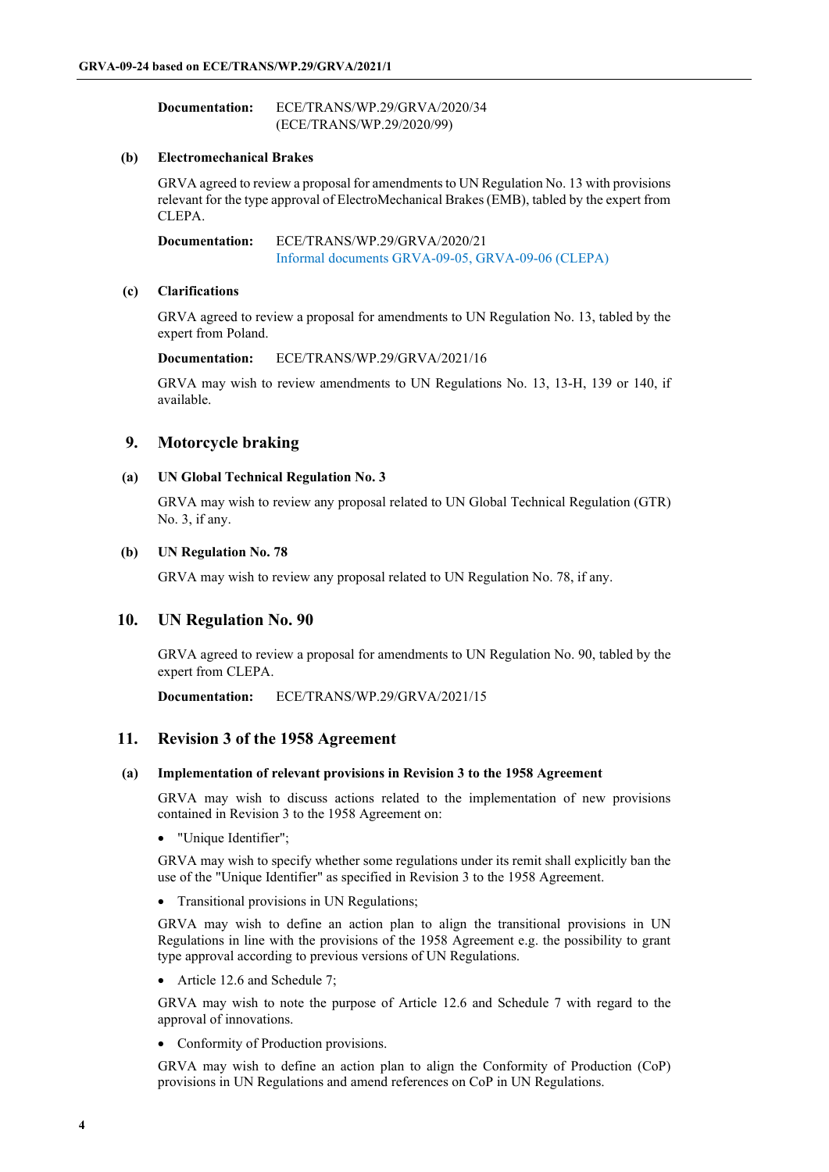| Documentation: | ECE/TRANS/WP.29/GRVA/2020/34 |
|----------------|------------------------------|
|                | (ECE/TRANS/WP.29/2020/99)    |

#### **(b) Electromechanical Brakes**

GRVA agreed to review a proposal for amendments to UN Regulation No. 13 with provisions relevant for the type approval of ElectroMechanical Brakes (EMB), tabled by the expert from CLEPA.

**Documentation:** ECE/TRANS/WP.29/GRVA/2020/21 Informal documents GRVA-09-05, GRVA-09-06 (CLEPA)

### **(c) Clarifications**

GRVA agreed to review a proposal for amendments to UN Regulation No. 13, tabled by the expert from Poland.

**Documentation:** ECE/TRANS/WP.29/GRVA/2021/16

GRVA may wish to review amendments to UN Regulations No. 13, 13-H, 139 or 140, if available.

# **9. Motorcycle braking**

### **(a) UN Global Technical Regulation No. 3**

GRVA may wish to review any proposal related to UN Global Technical Regulation (GTR) No. 3, if any.

### **(b) UN Regulation No. 78**

GRVA may wish to review any proposal related to UN Regulation No. 78, if any.

# **10. UN Regulation No. 90**

GRVA agreed to review a proposal for amendments to UN Regulation No. 90, tabled by the expert from CLEPA.

**Documentation:** ECE/TRANS/WP.29/GRVA/2021/15

# **11. Revision 3 of the 1958 Agreement**

### **(a) Implementation of relevant provisions in Revision 3 to the 1958 Agreement**

GRVA may wish to discuss actions related to the implementation of new provisions contained in Revision 3 to the 1958 Agreement on:

• "Unique Identifier";

GRVA may wish to specify whether some regulations under its remit shall explicitly ban the use of the "Unique Identifier" as specified in Revision 3 to the 1958 Agreement.

• Transitional provisions in UN Regulations;

GRVA may wish to define an action plan to align the transitional provisions in UN Regulations in line with the provisions of the 1958 Agreement e.g. the possibility to grant type approval according to previous versions of UN Regulations.

• Article 12.6 and Schedule 7;

GRVA may wish to note the purpose of Article 12.6 and Schedule 7 with regard to the approval of innovations.

• Conformity of Production provisions.

GRVA may wish to define an action plan to align the Conformity of Production (CoP) provisions in UN Regulations and amend references on CoP in UN Regulations.